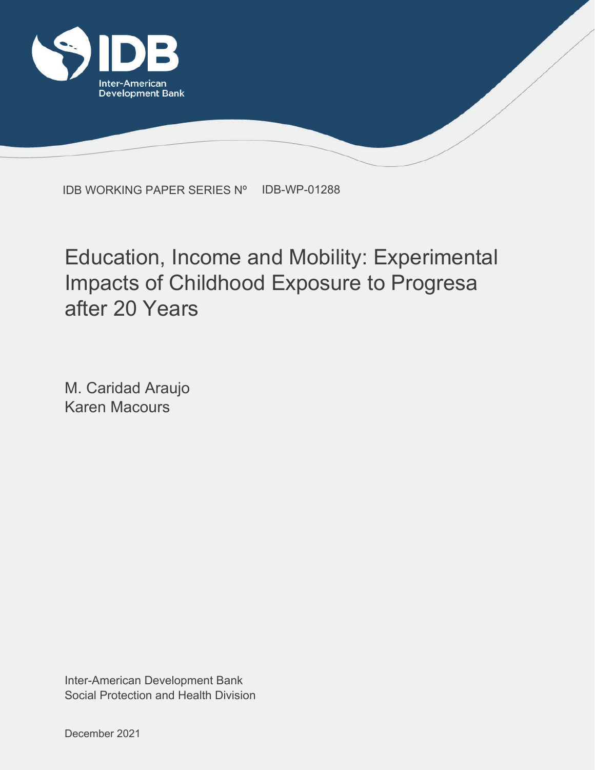

IDB WORKING PAPER SERIES Nº IDB-WP-01288

## Education, Income and Mobility: Experimental Impacts of Childhood Exposure to Progresa after 20 Years

M. Caridad Araujo Karen Macours

Social Protection and Health Division Inter-American Development Bank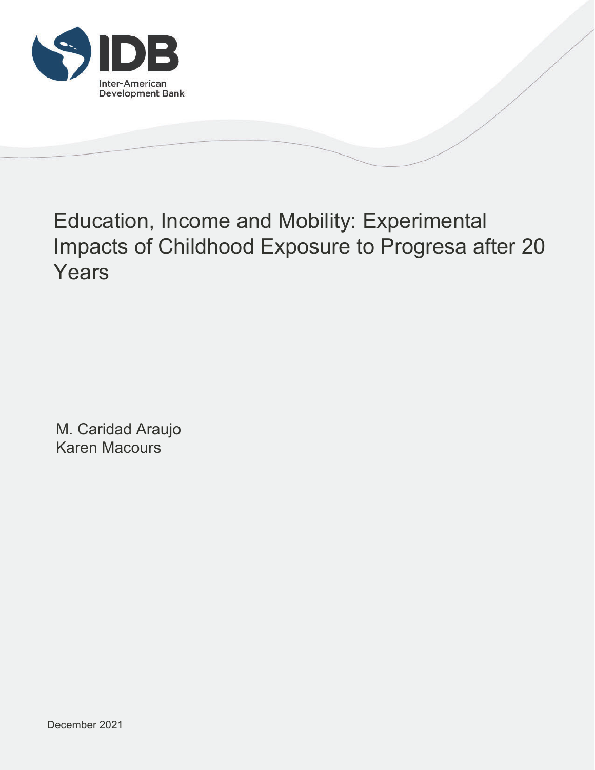

## Education, Income and Mobility: Experimental Impacts of Childhood Exposure to Progresa after 20 Years

M. Caridad Araujo Karen Macours